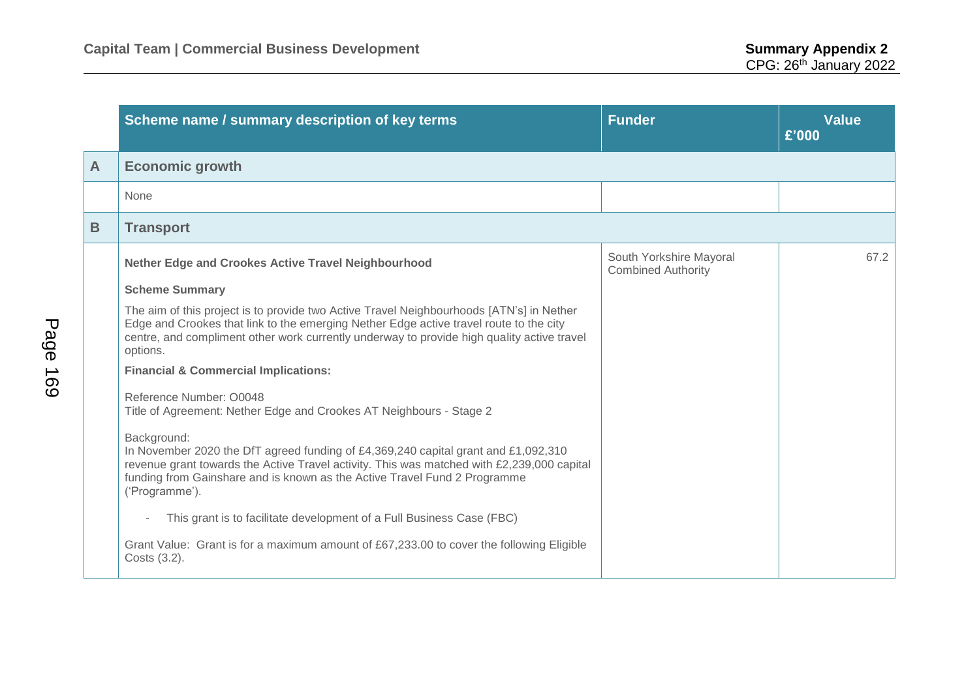|   | Scheme name / summary description of key terms                                                                                                                                                                                                                                                                                                                                                                                                                                                                                                                                                                                                                                                                                              | <b>Funder</b>                                        | <b>Value</b><br>£'000 |
|---|---------------------------------------------------------------------------------------------------------------------------------------------------------------------------------------------------------------------------------------------------------------------------------------------------------------------------------------------------------------------------------------------------------------------------------------------------------------------------------------------------------------------------------------------------------------------------------------------------------------------------------------------------------------------------------------------------------------------------------------------|------------------------------------------------------|-----------------------|
| A | <b>Economic growth</b>                                                                                                                                                                                                                                                                                                                                                                                                                                                                                                                                                                                                                                                                                                                      |                                                      |                       |
|   | None                                                                                                                                                                                                                                                                                                                                                                                                                                                                                                                                                                                                                                                                                                                                        |                                                      |                       |
| B | <b>Transport</b>                                                                                                                                                                                                                                                                                                                                                                                                                                                                                                                                                                                                                                                                                                                            |                                                      |                       |
|   | <b>Nether Edge and Crookes Active Travel Neighbourhood</b><br><b>Scheme Summary</b><br>The aim of this project is to provide two Active Travel Neighbourhoods [ATN's] in Nether<br>Edge and Crookes that link to the emerging Nether Edge active travel route to the city<br>centre, and compliment other work currently underway to provide high quality active travel<br>options.<br><b>Financial &amp; Commercial Implications:</b><br>Reference Number: 00048<br>Title of Agreement: Nether Edge and Crookes AT Neighbours - Stage 2<br>Background:<br>In November 2020 the DfT agreed funding of £4,369,240 capital grant and £1,092,310<br>revenue grant towards the Active Travel activity. This was matched with £2,239,000 capital | South Yorkshire Mayoral<br><b>Combined Authority</b> | 67.2                  |
|   | funding from Gainshare and is known as the Active Travel Fund 2 Programme<br>('Programme').<br>This grant is to facilitate development of a Full Business Case (FBC)<br>Grant Value: Grant is for a maximum amount of £67,233.00 to cover the following Eligible<br>Costs (3.2).                                                                                                                                                                                                                                                                                                                                                                                                                                                            |                                                      |                       |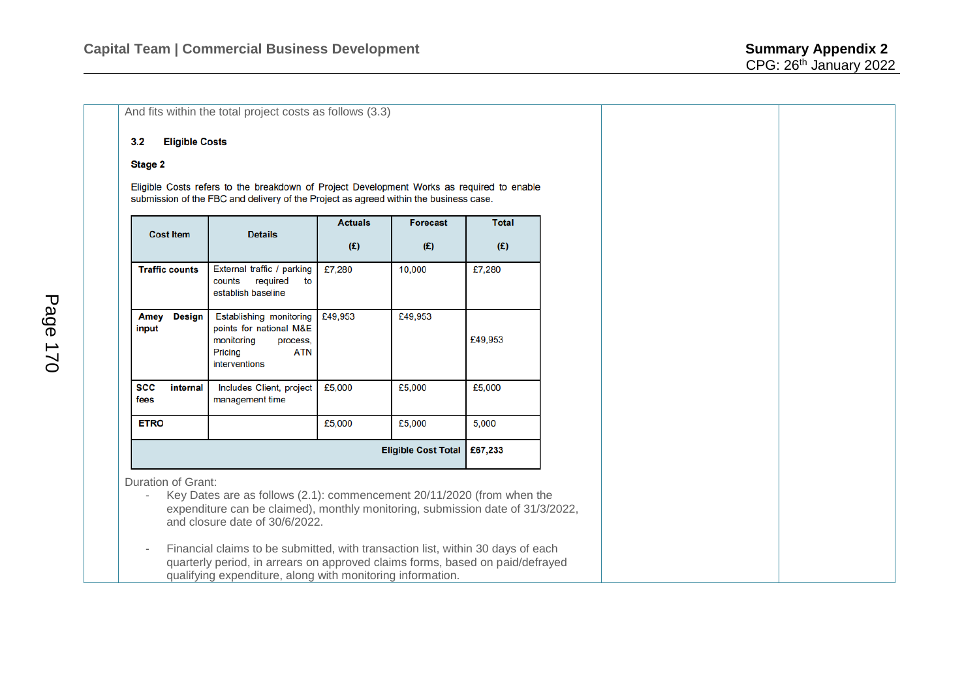## And fits within the total project costs as follows (3.3)

## **Eligible Costs**  $3.2$

## Stage 2

Eligible Costs refers to the breakdown of Project Development Works as required to enable submission of the FBC and delivery of the Project as agreed within the business case.

| <b>Cost Item</b>           | <b>Details</b>                                                                                                  | <b>Actuals</b><br>(E) | <b>Forecast</b><br>(E) | <b>Total</b><br>(E) |
|----------------------------|-----------------------------------------------------------------------------------------------------------------|-----------------------|------------------------|---------------------|
| <b>Traffic counts</b>      | External traffic / parking<br>required<br>counts<br>to<br>establish baseline                                    | £7,280                | 10,000                 | £7,280              |
| Design<br>Amey<br>input    | Establishing monitoring<br>points for national M&E<br>monitoring<br>process,<br>Pricing<br>ATN<br>interventions | £49,953               | £49,953                | £49,953             |
| SCC<br>internal<br>fees    | Includes Client, project<br>management time                                                                     | £5,000                | £5,000                 | £5,000              |
| <b>ETRO</b>                |                                                                                                                 | £5,000                | £5,000                 | 5,000               |
| <b>Eligible Cost Total</b> |                                                                                                                 |                       |                        | £67,233             |

Duration of Grant:

- Key Dates are as follows (2.1): commencement 20/11/2020 (from when the expenditure can be claimed), monthly monitoring, submission date of 31/3/2022, and closure date of 30/6/2022.
- Financial claims to be submitted, with transaction list, within 30 days of each quarterly period, in arrears on approved claims forms, based on paid/defrayed qualifying expenditure, along with monitoring information.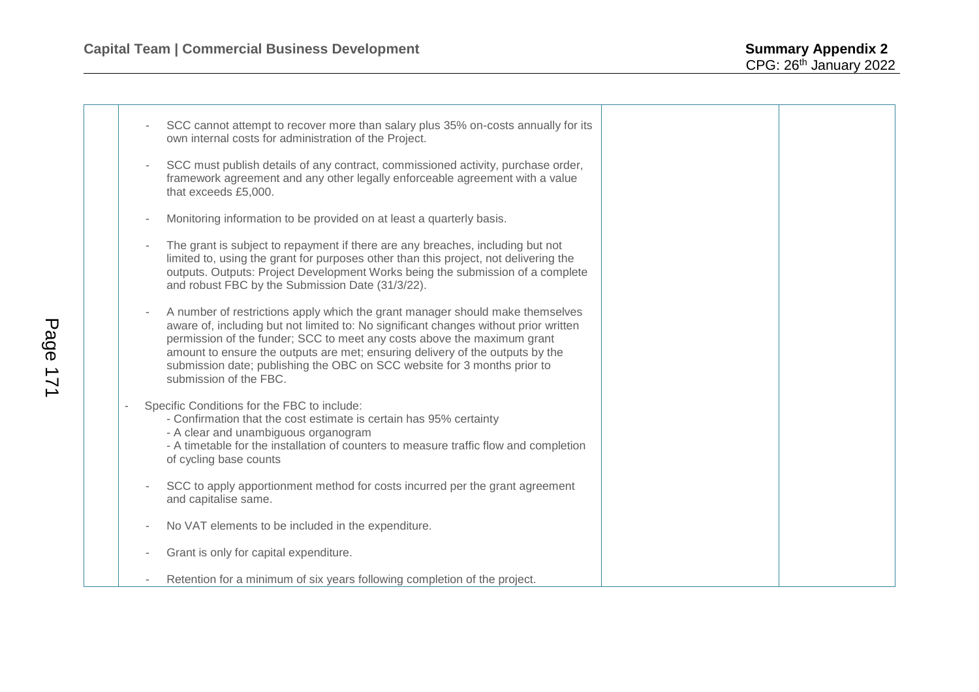|  | SCC cannot attempt to recover more than salary plus 35% on-costs annually for its<br>own internal costs for administration of the Project.                                                                                                                                                                                                                                                                                              |
|--|-----------------------------------------------------------------------------------------------------------------------------------------------------------------------------------------------------------------------------------------------------------------------------------------------------------------------------------------------------------------------------------------------------------------------------------------|
|  | SCC must publish details of any contract, commissioned activity, purchase order,<br>framework agreement and any other legally enforceable agreement with a value<br>that exceeds £5,000.                                                                                                                                                                                                                                                |
|  | Monitoring information to be provided on at least a quarterly basis.                                                                                                                                                                                                                                                                                                                                                                    |
|  | The grant is subject to repayment if there are any breaches, including but not<br>limited to, using the grant for purposes other than this project, not delivering the<br>outputs. Outputs: Project Development Works being the submission of a complete<br>and robust FBC by the Submission Date (31/3/22).                                                                                                                            |
|  | A number of restrictions apply which the grant manager should make themselves<br>aware of, including but not limited to: No significant changes without prior written<br>permission of the funder; SCC to meet any costs above the maximum grant<br>amount to ensure the outputs are met; ensuring delivery of the outputs by the<br>submission date; publishing the OBC on SCC website for 3 months prior to<br>submission of the FBC. |
|  | Specific Conditions for the FBC to include:<br>- Confirmation that the cost estimate is certain has 95% certainty<br>- A clear and unambiguous organogram<br>- A timetable for the installation of counters to measure traffic flow and completion<br>of cycling base counts                                                                                                                                                            |
|  | SCC to apply apportionment method for costs incurred per the grant agreement<br>and capitalise same.                                                                                                                                                                                                                                                                                                                                    |
|  | No VAT elements to be included in the expenditure.                                                                                                                                                                                                                                                                                                                                                                                      |
|  | Grant is only for capital expenditure.                                                                                                                                                                                                                                                                                                                                                                                                  |
|  | Retention for a minimum of six years following completion of the project.                                                                                                                                                                                                                                                                                                                                                               |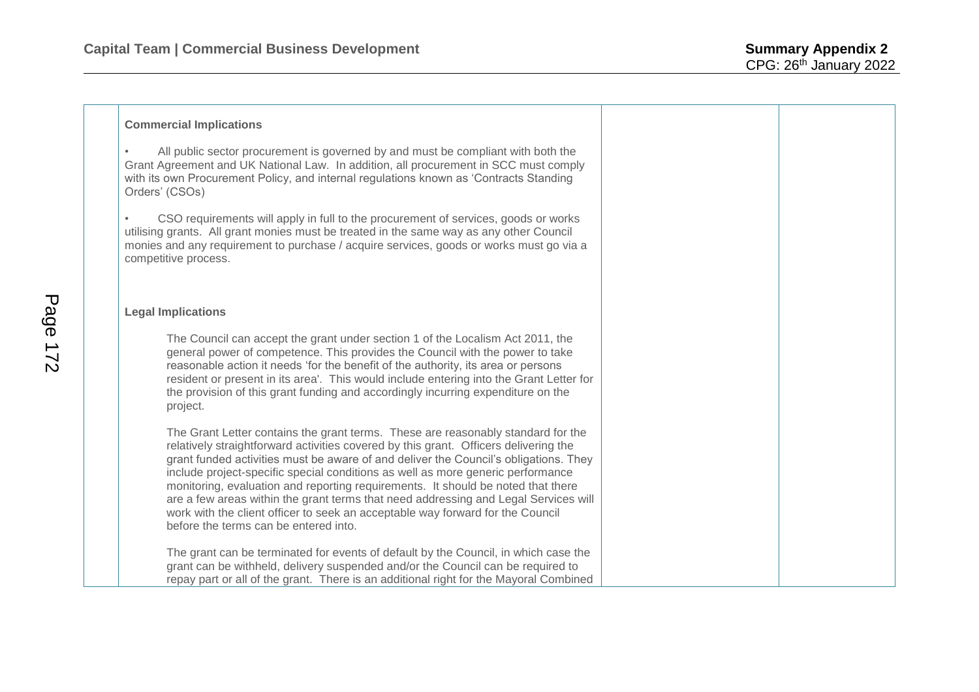• All public sector procurement is governed by and must be compliant with both the Grant Agreement and UK National Law. In addition, all procurement in SCC must comply with its own Procurement Policy, and internal regulations known as 'Contracts Standing Orders' (CSOs)

• CSO requirements will apply in full to the procurement of services, goods or works utilising grants. All grant monies must be treated in the same way as any other Council monies and any requirement to purchase / acquire services, goods or works must go via a competitive process.

## **Legal Implications**

The Council can accept the grant under section 1 of the Localism Act 2011, the general power of competence. This provides the Council with the power to take reasonable action it needs 'for the benefit of the authority, its area or persons resident or present in its area'. This would include entering into the Grant Letter for the provision of this grant funding and accordingly incurring expenditure on the project.

The Grant Letter contains the grant terms. These are reasonably standard for the relatively straightforward activities covered by this grant. Officers delivering the grant funded activities must be aware of and deliver the Council's obligations. They include project-specific special conditions as well as more generic performance monitoring, evaluation and reporting requirements. It should be noted that there are a few areas within the grant terms that need addressing and Legal Services will work with the client officer to seek an acceptable way forward for the Council before the terms can be entered into.

The grant can be terminated for events of default by the Council, in which case the grant can be withheld, delivery suspended and/or the Council can be required to repay part or all of the grant. There is an additional right for the Mayoral Combined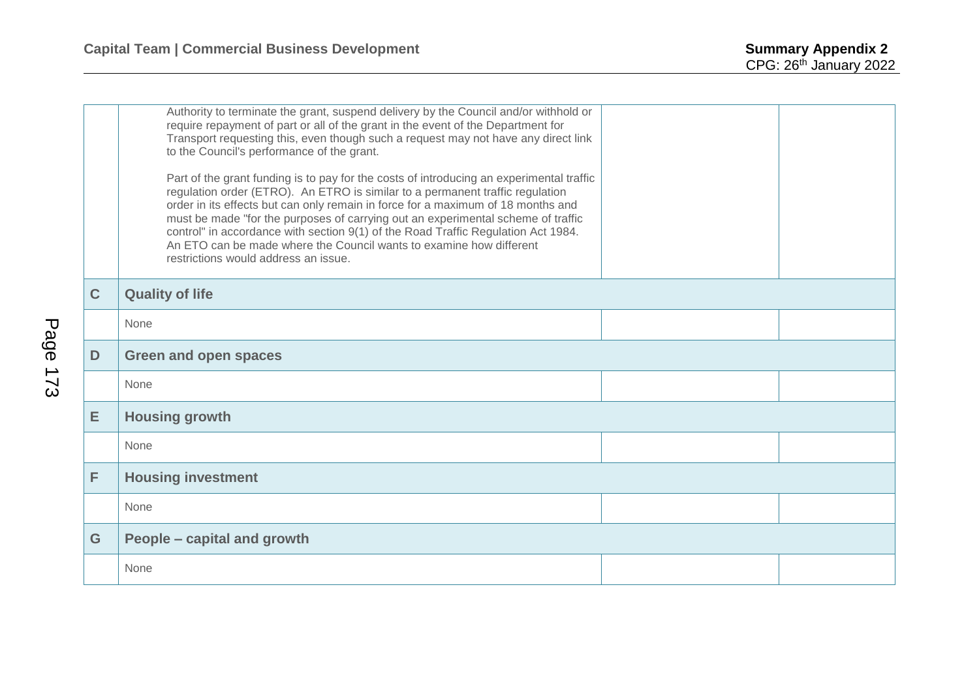|                | Authority to terminate the grant, suspend delivery by the Council and/or withhold or<br>require repayment of part or all of the grant in the event of the Department for<br>Transport requesting this, even though such a request may not have any direct link<br>to the Council's performance of the grant.<br>Part of the grant funding is to pay for the costs of introducing an experimental traffic<br>regulation order (ETRO). An ETRO is similar to a permanent traffic regulation<br>order in its effects but can only remain in force for a maximum of 18 months and<br>must be made "for the purposes of carrying out an experimental scheme of traffic<br>control" in accordance with section 9(1) of the Road Traffic Regulation Act 1984.<br>An ETO can be made where the Council wants to examine how different<br>restrictions would address an issue. |  |  |
|----------------|-----------------------------------------------------------------------------------------------------------------------------------------------------------------------------------------------------------------------------------------------------------------------------------------------------------------------------------------------------------------------------------------------------------------------------------------------------------------------------------------------------------------------------------------------------------------------------------------------------------------------------------------------------------------------------------------------------------------------------------------------------------------------------------------------------------------------------------------------------------------------|--|--|
| $\overline{C}$ | <b>Quality of life</b>                                                                                                                                                                                                                                                                                                                                                                                                                                                                                                                                                                                                                                                                                                                                                                                                                                                |  |  |
|                | None                                                                                                                                                                                                                                                                                                                                                                                                                                                                                                                                                                                                                                                                                                                                                                                                                                                                  |  |  |
| D              | <b>Green and open spaces</b>                                                                                                                                                                                                                                                                                                                                                                                                                                                                                                                                                                                                                                                                                                                                                                                                                                          |  |  |
|                | None                                                                                                                                                                                                                                                                                                                                                                                                                                                                                                                                                                                                                                                                                                                                                                                                                                                                  |  |  |
| E              | <b>Housing growth</b>                                                                                                                                                                                                                                                                                                                                                                                                                                                                                                                                                                                                                                                                                                                                                                                                                                                 |  |  |
|                | None                                                                                                                                                                                                                                                                                                                                                                                                                                                                                                                                                                                                                                                                                                                                                                                                                                                                  |  |  |
| F              | <b>Housing investment</b>                                                                                                                                                                                                                                                                                                                                                                                                                                                                                                                                                                                                                                                                                                                                                                                                                                             |  |  |
|                | None                                                                                                                                                                                                                                                                                                                                                                                                                                                                                                                                                                                                                                                                                                                                                                                                                                                                  |  |  |
| G              | People – capital and growth                                                                                                                                                                                                                                                                                                                                                                                                                                                                                                                                                                                                                                                                                                                                                                                                                                           |  |  |
|                | None                                                                                                                                                                                                                                                                                                                                                                                                                                                                                                                                                                                                                                                                                                                                                                                                                                                                  |  |  |